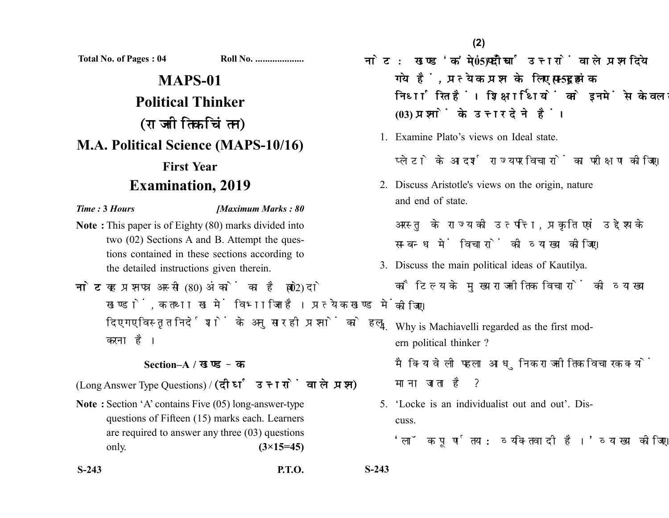**Total No. of Pages : 04 Roll No. ....................**

# **MAPS-01 Political Thinker** (राजनीतिक चिंतन) **M.A. Political Science (MAPS-10/16) First Year Examination, 2019**

#### *Time :* **3** *Hours [Maximum Marks : 80*

- **Note :** This paper is of Eighty (80) marks divided into two (02) Sections A and B. Attempt the questions contained in these sections according to the detailed instructions given therein.
- नोट: यह प्रश्नपत्र अस्सी (80) अंकों का है जो दो (02) खण्डों. क तथा ख में विभाजित है। प्रत्येक खण्ड में दिए गए विस्तृत निर्देशों के अनुसार ही प्रश्नों को हल करना है।

### **Section–A /**

(Long Answer Type Questions) / (दीर्घ उत्तरों वाले प्रश्न)

- **Note :** Section 'A' contains Five (05) long-answer-type questions of Fifteen (15) marks each. Learners are required to answer any three (03) questions only. **(3×15=45)**
- **S-243 P.T.O. S-243**

- नोट: खण्ड'क' में पाँच (05) दीर्घ उत्तरों वाले प्रश्न दिये गये हैं, प्रत्येक प्रश्न के लिए पन्दुह (15) अंक निर्धारित हैं। शिक्षार्थियों को इनमें से केवल तीन **(03)** 
	- 1. Examine Plato's views on Ideal state.

प्लेटो के आदर्श राज्य पर विचारों का परीक्षण कीजिए।

2. Discuss Aristotle's views on the origin, nature and end of state.

अरस्त के राज्य की उत्पत्ति. प्रकृति एवं उद्देश्य के सम्बन्ध में विचारों की व्याख्या कीजिए।

- 3. Discuss the main political ideas of Kautilya. कौटिल्य के मुख्य राजनीतिक विचारों की व्याख्या कोजिए।
- 4. Why is Machiavelli regarded as the first modern political thinker ?

मैक्यिावेली पहला आधुनिक राजनीतिक विचारक क्यों माना जाता है ?

5. 'Locke is an individualist out and out'. Discuss.

'लॉक पर्णतया: व्यक्तिवादी है।' व्याख्या कोजिए।